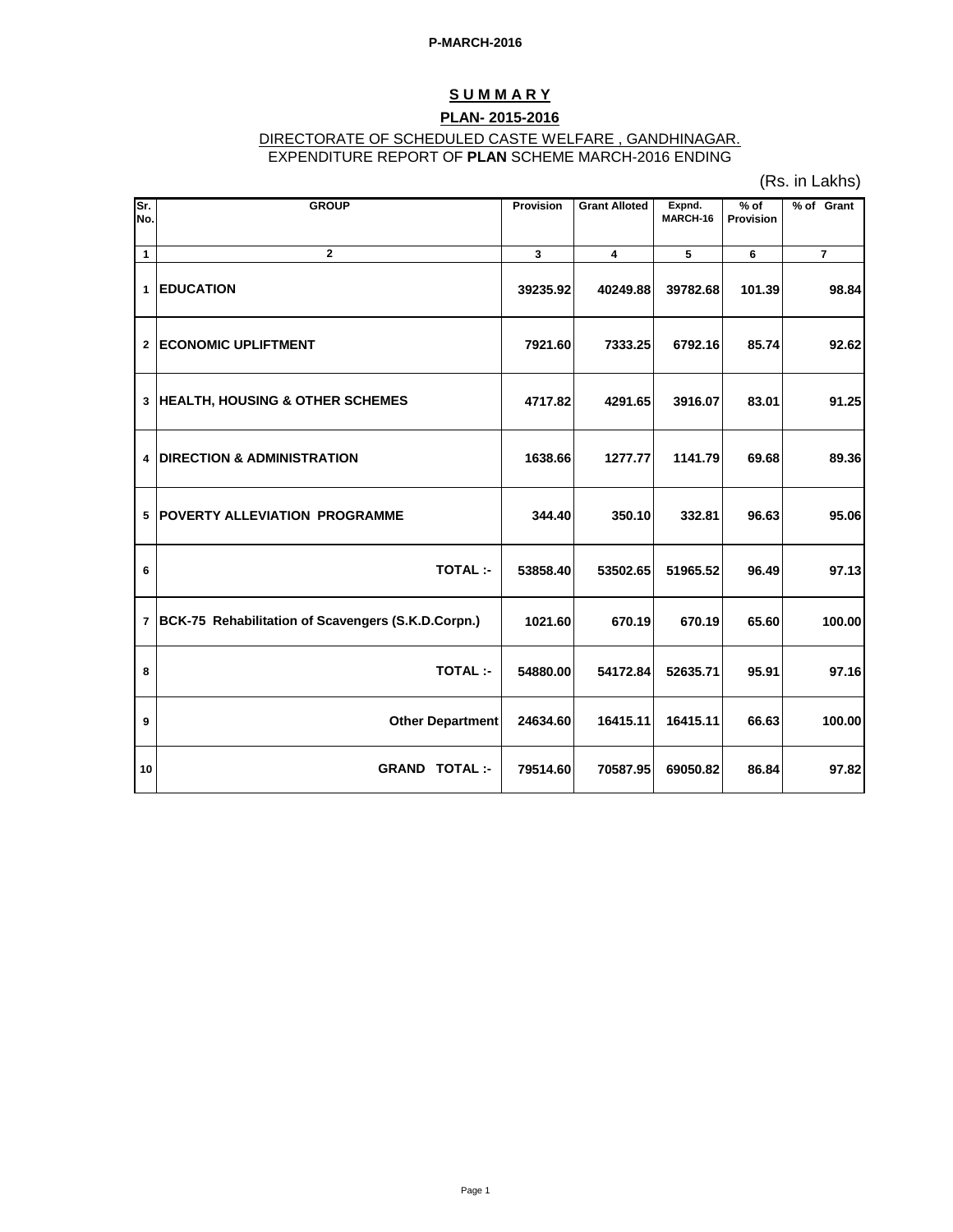## **S U M M A R Y PLAN- 2015-2016**

#### DIRECTORATE OF SCHEDULED CASTE WELFARE , GANDHINAGAR. EXPENDITURE REPORT OF **PLAN** SCHEME MARCH-2016 ENDING

(Rs. in Lakhs)

| Sr.<br>No.     | <b>GROUP</b>                                       | Provision | <b>Grant Alloted</b>    | Expnd.<br>MARCH-16 | $%$ of<br>Provision | % of Grant     |
|----------------|----------------------------------------------------|-----------|-------------------------|--------------------|---------------------|----------------|
| $\mathbf{1}$   | $\overline{2}$                                     | 3         | $\overline{\mathbf{4}}$ | 5                  | 6                   | $\overline{7}$ |
| $\mathbf 1$    | <b>EDUCATION</b>                                   | 39235.92  | 40249.88                | 39782.68           | 101.39              | 98.84          |
| $\overline{2}$ | <b>ECONOMIC UPLIFTMENT</b>                         | 7921.60   | 7333.25                 | 6792.16            | 85.74               | 92.62          |
| $\mathbf{3}$   | <b>HEALTH, HOUSING &amp; OTHER SCHEMES</b>         | 4717.82   | 4291.65                 | 3916.07            | 83.01               | 91.25          |
| 4              | <b>DIRECTION &amp; ADMINISTRATION</b>              | 1638.66   | 1277.77                 | 1141.79            | 69.68               | 89.36          |
| 5              | POVERTY ALLEVIATION PROGRAMME                      | 344.40    | 350.10                  | 332.81             | 96.63               | 95.06          |
| 6              | <b>TOTAL:-</b>                                     | 53858.40  | 53502.65                | 51965.52           | 96.49               | 97.13          |
| $\overline{7}$ | BCK-75 Rehabilitation of Scavengers (S.K.D.Corpn.) | 1021.60   | 670.19                  | 670.19             | 65.60               | 100.00         |
| 8              | <b>TOTAL:-</b>                                     | 54880.00  | 54172.84                | 52635.71           | 95.91               | 97.16          |
| 9              | Other Department                                   | 24634.60  | 16415.11                | 16415.11           | 66.63               | 100.00         |
| 10             | <b>GRAND TOTAL:-</b>                               | 79514.60  | 70587.95                | 69050.82           | 86.84               | 97.82          |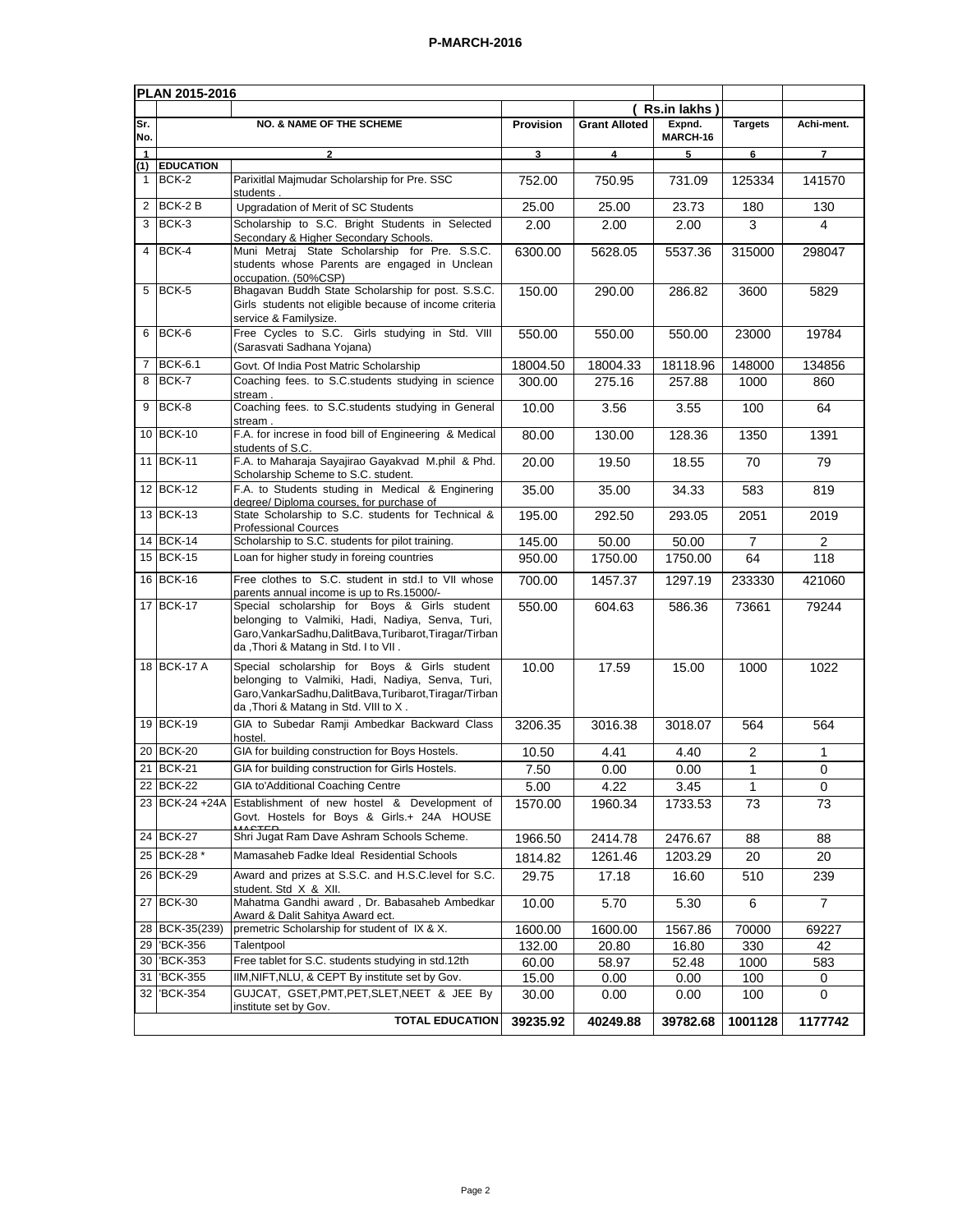| PLAN 2015-2016 |                  |                                                                                                                                                                                                        |           |                      |                    |                |                |
|----------------|------------------|--------------------------------------------------------------------------------------------------------------------------------------------------------------------------------------------------------|-----------|----------------------|--------------------|----------------|----------------|
|                |                  |                                                                                                                                                                                                        | Provision |                      | Rs.in lakhs)       |                |                |
| Sr.<br>No.     |                  | <b>NO. &amp; NAME OF THE SCHEME</b>                                                                                                                                                                    |           | <b>Grant Alloted</b> | Expnd.<br>MARCH-16 | <b>Targets</b> | Achi-ment.     |
| 1<br>(1)       | <b>EDUCATION</b> | $\mathbf{2}$                                                                                                                                                                                           | 3         | 4                    | 5                  | 6              | $\overline{7}$ |
| $\mathbf{1}$   | BCK-2            | Parixitlal Majmudar Scholarship for Pre. SSC<br>students                                                                                                                                               | 752.00    | 750.95               | 731.09             | 125334         | 141570         |
| 2              | BCK-2B           | Upgradation of Merit of SC Students                                                                                                                                                                    | 25.00     | 25.00                | 23.73              | 180            | 130            |
| 3              | BCK-3            | Scholarship to S.C. Bright Students in Selected<br>Secondary & Higher Secondary Schools.                                                                                                               | 2.00      | 2.00                 | 2.00               | 3              | 4              |
| $\overline{4}$ | BCK-4            | Muni Metraj State Scholarship for Pre. S.S.C.<br>students whose Parents are engaged in Unclean<br>occupation. (50%CSP)                                                                                 | 6300.00   | 5628.05              | 5537.36            | 315000         | 298047         |
| 5              | BCK-5            | Bhagavan Buddh State Scholarship for post. S.S.C.<br>Girls students not eligible because of income criteria<br>service & Familysize.                                                                   | 150.00    | 290.00               | 286.82             | 3600           | 5829           |
| 6              | BCK-6            | Free Cycles to S.C. Girls studying in Std. VIII<br>(Sarasvati Sadhana Yojana)                                                                                                                          | 550.00    | 550.00               | 550.00             | 23000          | 19784          |
| $\overline{7}$ | <b>BCK-6.1</b>   | Govt. Of India Post Matric Scholarship                                                                                                                                                                 | 18004.50  | 18004.33             | 18118.96           | 148000         | 134856         |
| 8              | BCK-7            | Coaching fees. to S.C. students studying in science<br>stream.                                                                                                                                         | 300.00    | 275.16               | 257.88             | 1000           | 860            |
| 9              | BCK-8            | Coaching fees. to S.C.students studying in General<br>stream.                                                                                                                                          | 10.00     | 3.56                 | 3.55               | 100            | 64             |
|                | 10 BCK-10        | F.A. for increse in food bill of Engineering & Medical<br>students of S.C.                                                                                                                             | 80.00     | 130.00               | 128.36             | 1350           | 1391           |
|                | 11 BCK-11        | F.A. to Maharaja Sayajirao Gayakvad M.phil & Phd.<br>Scholarship Scheme to S.C. student.                                                                                                               | 20.00     | 19.50                | 18.55              | 70             | 79             |
|                | 12 BCK-12        | F.A. to Students studing in Medical & Enginering<br>degree/ Diploma courses, for purchase of                                                                                                           | 35.00     | 35.00                | 34.33              | 583            | 819            |
|                | 13 BCK-13        | State Scholarship to S.C. students for Technical &<br><b>Professional Cources</b>                                                                                                                      | 195.00    | 292.50               | 293.05             | 2051           | 2019           |
|                | 14 BCK-14        | Scholarship to S.C. students for pilot training.                                                                                                                                                       | 145.00    | 50.00                | 50.00              | $\overline{7}$ | $\overline{2}$ |
|                | 15 BCK-15        | Loan for higher study in foreing countries                                                                                                                                                             | 950.00    | 1750.00              | 1750.00            | 64             | 118            |
|                | 16 BCK-16        | Free clothes to S.C. student in std.I to VII whose<br>parents annual income is up to Rs.15000/-                                                                                                        | 700.00    | 1457.37              | 1297.19            | 233330         | 421060         |
|                | 17 BCK-17        | Special scholarship for Boys & Girls student<br>belonging to Valmiki, Hadi, Nadiya, Senva, Turi,<br>Garo, Vankar Sadhu, Dalit Bava, Turibarot, Tiragar/Tirban<br>da, Thori & Matang in Std. I to VII.  | 550.00    | 604.63               | 586.36             | 73661          | 79244          |
|                | 18 BCK-17 A      | Special scholarship for Boys & Girls student<br>belonging to Valmiki, Hadi, Nadiya, Senva, Turi,<br>Garo, Vankar Sadhu, Dalit Bava, Turibarot, Tiragar/Tirban<br>da, Thori & Matang in Std. VIII to X. | 10.00     | 17.59                | 15.00              | 1000           | 1022           |
|                | 19 BCK-19        | GIA to Subedar Ramji Ambedkar Backward Class<br>hostel.                                                                                                                                                | 3206.35   | 3016.38              | 3018.07            | 564            | 564            |
| 20             | <b>BCK-20</b>    | GIA for building construction for Boys Hostels.                                                                                                                                                        | 10.50     | 4.41                 | 4.40               | 2              | 1              |
|                | 21 BCK-21        | GIA for building construction for Girls Hostels.                                                                                                                                                       | 7.50      | 0.00                 | 0.00               | 1              | $\pmb{0}$      |
|                | 22 BCK-22        | GIA to'Additional Coaching Centre                                                                                                                                                                      | 5.00      | 4.22                 | 3.45               | 1              | 0              |
|                |                  | 23 BCK-24 +24A Establishment of new hostel & Development of<br>Govt. Hostels for Boys & Girls.+ 24A HOUSE                                                                                              | 1570.00   | 1960.34              | 1733.53            | 73             | 73             |
|                | 24 BCK-27        | Shri Jugat Ram Dave Ashram Schools Scheme.                                                                                                                                                             | 1966.50   | 2414.78              | 2476.67            | 88             | 88             |
|                | 25 BCK-28 *      | Mamasaheb Fadke Ideal Residential Schools                                                                                                                                                              | 1814.82   | 1261.46              | 1203.29            | 20             | 20             |
|                | 26 BCK-29        | Award and prizes at S.S.C. and H.S.C. level for S.C.<br>student. Std X & XII.                                                                                                                          | 29.75     | 17.18                | 16.60              | 510            | 239            |
|                | 27 BCK-30        | Mahatma Gandhi award, Dr. Babasaheb Ambedkar<br>Award & Dalit Sahitya Award ect.                                                                                                                       | 10.00     | 5.70                 | 5.30               | 6              | $\overline{7}$ |
|                | 28 BCK-35(239)   | premetric Scholarship for student of IX & X.                                                                                                                                                           | 1600.00   | 1600.00              | 1567.86            | 70000          | 69227          |
|                | 29 BCK-356       | Talentpool                                                                                                                                                                                             | 132.00    | 20.80                | 16.80              | 330            | 42             |
|                | 30 BCK-353       | Free tablet for S.C. students studying in std.12th                                                                                                                                                     | 60.00     | 58.97                | 52.48              | 1000           | 583            |
| 31             | 'BCK-355         | IIM, NIFT, NLU, & CEPT By institute set by Gov.                                                                                                                                                        | 15.00     | 0.00                 | 0.00               | 100            | 0              |
| 32             | 'BCK-354         | GUJCAT, GSET, PMT, PET, SLET, NEET & JEE By<br>institute set by Gov.                                                                                                                                   | 30.00     | 0.00                 | 0.00               | 100            | $\Omega$       |
|                |                  | <b>TOTAL EDUCATION</b>                                                                                                                                                                                 | 39235.92  | 40249.88             | 39782.68           | 1001128        | 1177742        |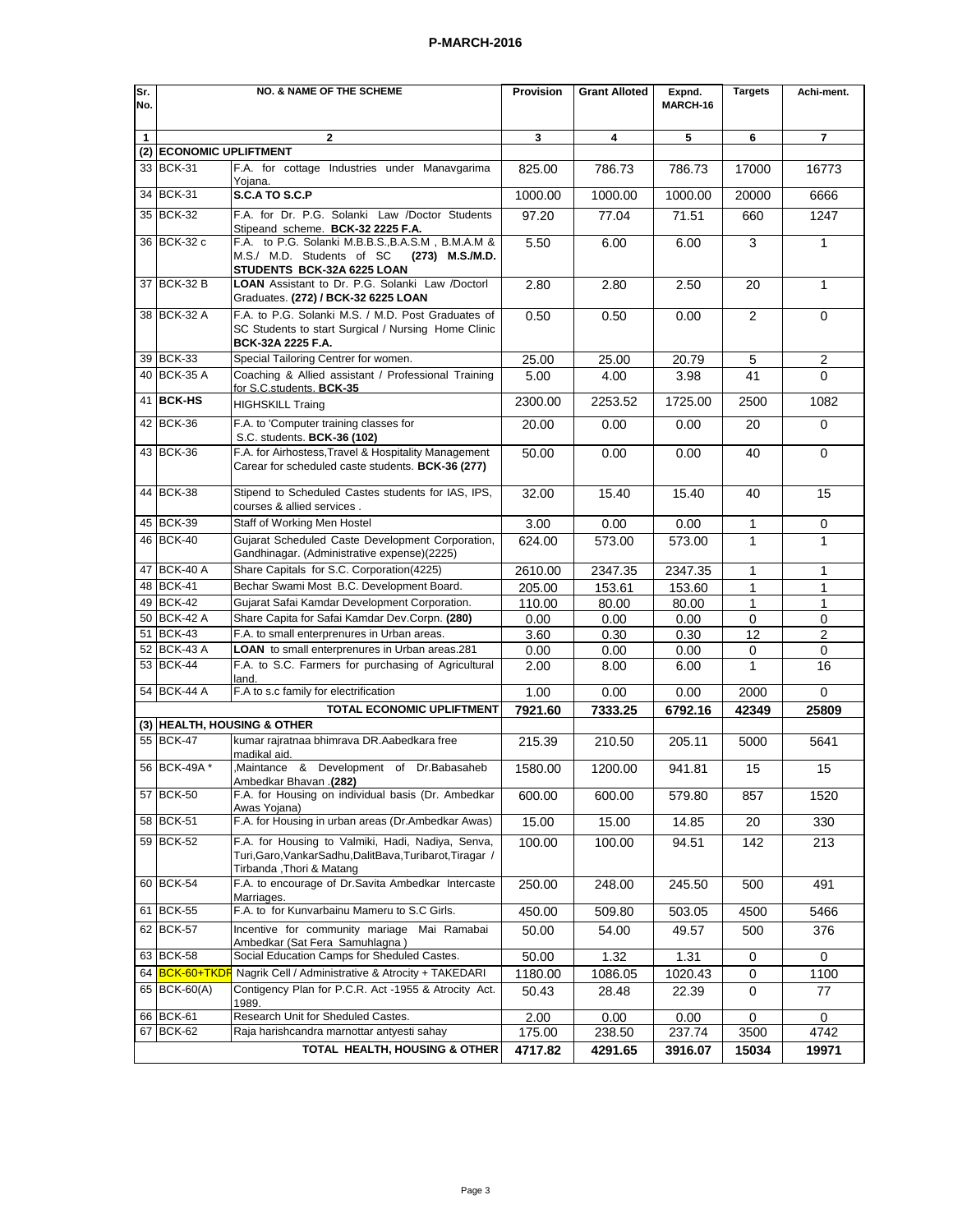| Sr. | <b>NO. &amp; NAME OF THE SCHEME</b>                                              |                                                                                                                                             |         | <b>Grant Alloted</b> | Expnd.   | <b>Targets</b> | Achi-ment.     |  |  |
|-----|----------------------------------------------------------------------------------|---------------------------------------------------------------------------------------------------------------------------------------------|---------|----------------------|----------|----------------|----------------|--|--|
| No. |                                                                                  |                                                                                                                                             |         |                      | MARCH-16 |                |                |  |  |
|     |                                                                                  |                                                                                                                                             |         |                      |          |                |                |  |  |
| 1   |                                                                                  | 2<br>(2) ECONOMIC UPLIFTMENT                                                                                                                |         | 4                    | 5        | 6              | 7              |  |  |
|     |                                                                                  |                                                                                                                                             |         |                      |          |                |                |  |  |
|     | 33 BCK-31                                                                        | F.A. for cottage Industries under Manavgarima<br>Yoiana.                                                                                    | 825.00  | 786.73               | 786.73   | 17000          | 16773          |  |  |
|     | 34 BCK-31                                                                        | S.C.A TO S.C.P                                                                                                                              | 1000.00 | 1000.00              | 1000.00  | 20000          | 6666           |  |  |
|     | 35 BCK-32                                                                        | F.A. for Dr. P.G. Solanki Law /Doctor Students                                                                                              | 97.20   | 77.04                | 71.51    | 660            | 1247           |  |  |
|     | 36 BCK-32 c                                                                      | Stipeand scheme. BCK-32 2225 F.A.<br>F.A. to P.G. Solanki M.B.B.S., B.A.S.M, B.M.A.M &                                                      | 5.50    | 6.00                 | 6.00     |                | $\mathbf{1}$   |  |  |
|     |                                                                                  | M.S./ M.D. Students of SC<br>(273) M.S./M.D.<br>STUDENTS BCK-32A 6225 LOAN                                                                  |         |                      |          | 3              |                |  |  |
|     | 37 BCK-32 B                                                                      | LOAN Assistant to Dr. P.G. Solanki Law /Doctorl<br>Graduates. (272) / BCK-32 6225 LOAN                                                      | 2.80    | 2.80                 | 2.50     | 20             | $\mathbf{1}$   |  |  |
|     | 38 BCK-32 A                                                                      | F.A. to P.G. Solanki M.S. / M.D. Post Graduates of<br>SC Students to start Surgical / Nursing Home Clinic<br>BCK-32A 2225 F.A.              | 0.50    | 0.50                 | 0.00     | 2              | 0              |  |  |
|     | 39 BCK-33                                                                        | Special Tailoring Centrer for women.                                                                                                        | 25.00   | 25.00                | 20.79    | 5              | 2              |  |  |
|     | 40 BCK-35 A                                                                      | Coaching & Allied assistant / Professional Training<br>for S.C.students. BCK-35                                                             | 5.00    | 4.00                 | 3.98     | 41             | 0              |  |  |
|     | 41 BCK-HS                                                                        | <b>HIGHSKILL Traing</b>                                                                                                                     | 2300.00 | 2253.52              | 1725.00  | 2500           | 1082           |  |  |
|     | 42 BCK-36                                                                        | F.A. to 'Computer training classes for<br>S.C. students. BCK-36 (102)                                                                       | 20.00   | 0.00                 | 0.00     | 20             | 0              |  |  |
|     | 43 BCK-36                                                                        | F.A. for Airhostess, Travel & Hospitality Management<br>Carear for scheduled caste students. BCK-36 (277)                                   | 50.00   | 0.00                 | 0.00     | 40             | 0              |  |  |
|     | 44 BCK-38                                                                        | Stipend to Scheduled Castes students for IAS, IPS,<br>courses & allied services.                                                            | 32.00   | 15.40                | 15.40    | 40             | 15             |  |  |
|     | 45 BCK-39                                                                        | Staff of Working Men Hostel                                                                                                                 | 3.00    | 0.00                 | 0.00     | 1              | 0              |  |  |
|     | 46 BCK-40                                                                        | Gujarat Scheduled Caste Development Corporation,<br>Gandhinagar. (Administrative expense)(2225)                                             | 624.00  | 573.00               | 573.00   | 1              | $\mathbf{1}$   |  |  |
|     | 47 BCK-40 A                                                                      | Share Capitals for S.C. Corporation(4225)                                                                                                   | 2610.00 | 2347.35              | 2347.35  | $\mathbf{1}$   | 1              |  |  |
|     | 48 BCK-41                                                                        | Bechar Swami Most B.C. Development Board.                                                                                                   | 205.00  | 153.61               | 153.60   | 1              | 1              |  |  |
|     | 49 BCK-42                                                                        | Gujarat Safai Kamdar Development Corporation.                                                                                               | 110.00  | 80.00                | 80.00    | 1              | 1              |  |  |
|     | 50 BCK-42 A                                                                      | Share Capita for Safai Kamdar Dev.Corpn. (280)                                                                                              | 0.00    | 0.00                 | 0.00     | $\mathbf 0$    | 0              |  |  |
|     | 51 BCK-43                                                                        | F.A. to small enterprenures in Urban areas.                                                                                                 | 3.60    | 0.30                 | 0.30     | 12             | $\overline{2}$ |  |  |
|     | 52 BCK-43 A                                                                      | LOAN to small enterprenures in Urban areas.281                                                                                              | 0.00    | 0.00                 | 0.00     | 0              | 0              |  |  |
|     | 53 BCK-44                                                                        | F.A. to S.C. Farmers for purchasing of Agricultural<br>land.                                                                                | 2.00    | 8.00                 | 6.00     | 1              | 16             |  |  |
|     | 54 BCK-44 A                                                                      | F.A to s.c family for electrification                                                                                                       | 1.00    | 0.00                 | 0.00     | 2000           | $\Omega$       |  |  |
|     |                                                                                  | TOTAL ECONOMIC UPLIFTMENT                                                                                                                   | 7921.60 | 7333.25              | 6792.16  | 42349          | 25809          |  |  |
|     |                                                                                  | (3) HEALTH, HOUSING & OTHER                                                                                                                 |         |                      |          |                |                |  |  |
|     | 55 BCK-47                                                                        | kumar rajratnaa bhimrava DR.Aabedkara free<br>madikal aid.                                                                                  | 215.39  | 210.50               | 205.11   | 5000           | 5641           |  |  |
|     | 56 BCK-49A *                                                                     | ,Maintance & Development of Dr.Babasaheb<br>(282). Ambedkar Bhavan                                                                          | 1580.00 | 1200.00              | 941.81   | 15             | 15             |  |  |
|     | 57 BCK-50                                                                        | F.A. for Housing on individual basis (Dr. Ambedkar<br>Awas Yoiana)                                                                          | 600.00  | 600.00               | 579.80   | 857            | 1520           |  |  |
|     | 58 BCK-51                                                                        | F.A. for Housing in urban areas (Dr.Ambedkar Awas)                                                                                          | 15.00   | 15.00                | 14.85    | 20             | 330            |  |  |
|     | 59 BCK-52                                                                        | F.A. for Housing to Valmiki, Hadi, Nadiya, Senva,<br>Turi, Garo, Vankar Sadhu, Dalit Bava, Turibarot, Tiragar /<br>Tirbanda, Thori & Matang | 100.00  | 100.00               | 94.51    | 142            | 213            |  |  |
|     | 60 BCK-54                                                                        | F.A. to encourage of Dr.Savita Ambedkar Intercaste<br>Marriages.                                                                            | 250.00  | 248.00               | 245.50   | 500            | 491            |  |  |
|     | 61 BCK-55                                                                        | F.A. to for Kunvarbainu Mameru to S.C Girls.                                                                                                | 450.00  | 509.80               | 503.05   | 4500           | 5466           |  |  |
|     | 62 BCK-57                                                                        | Incentive for community mariage Mai Ramabai<br>Ambedkar (Sat Fera Samuhlagna)                                                               | 50.00   | 54.00                | 49.57    | 500            | 376            |  |  |
|     | 63 BCK-58                                                                        | Social Education Camps for Sheduled Castes.                                                                                                 | 50.00   | 1.32                 | 1.31     | 0              | 0              |  |  |
|     | 64 <b>BCK-60+TKDF</b>                                                            | Nagrik Cell / Administrative & Atrocity + TAKEDARI                                                                                          | 1180.00 | 1086.05              | 1020.43  | 0              | 1100           |  |  |
|     | 65 BCK-60(A)                                                                     | Contigency Plan for P.C.R. Act -1955 & Atrocity Act.<br>1989.                                                                               | 50.43   | 28.48                | 22.39    | $\mathbf 0$    | 77             |  |  |
|     | 66 BCK-61                                                                        | Research Unit for Sheduled Castes.                                                                                                          | 2.00    | 0.00                 | $0.00\,$ | 0              | 0              |  |  |
|     | 67 BCK-62                                                                        | Raja harishcandra marnottar antyesti sahay                                                                                                  | 175.00  | 238.50               | 237.74   | 3500           | 4742           |  |  |
|     | TOTAL HEALTH, HOUSING & OTHER<br>4717.82<br>4291.65<br>3916.07<br>15034<br>19971 |                                                                                                                                             |         |                      |          |                |                |  |  |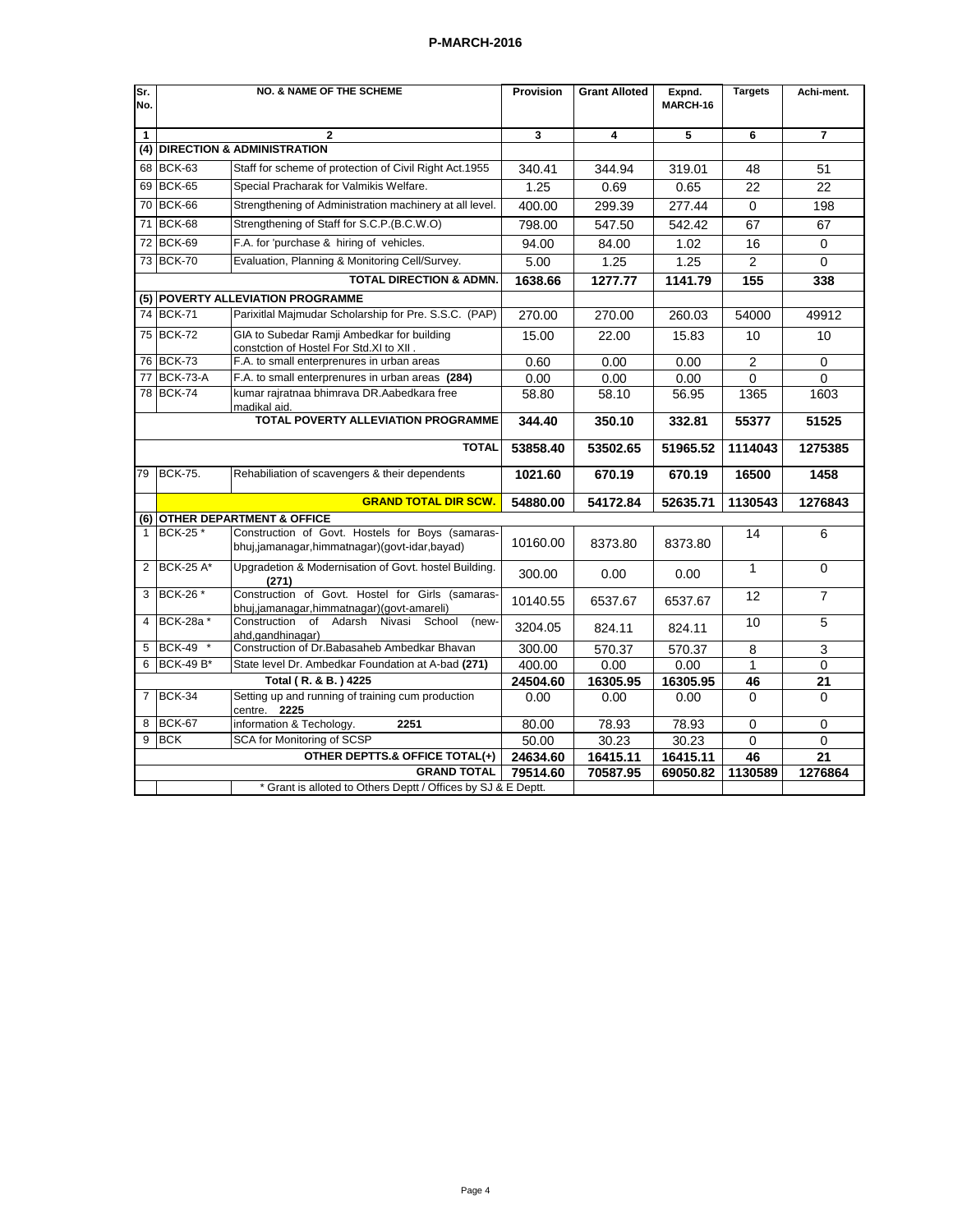| Sr.<br>No. |                                     | <b>NO. &amp; NAME OF THE SCHEME</b>                                                              | Provision | <b>Grant Alloted</b> | Expnd.<br>MARCH-16 | <b>Targets</b> | Achi-ment.     |
|------------|-------------------------------------|--------------------------------------------------------------------------------------------------|-----------|----------------------|--------------------|----------------|----------------|
| 1          |                                     | $\overline{2}$                                                                                   | 3         | 4                    | 5                  | 6              | $\overline{7}$ |
| (4)        |                                     | <b>DIRECTION &amp; ADMINISTRATION</b>                                                            |           |                      |                    |                |                |
| 68         | BCK-63                              | Staff for scheme of protection of Civil Right Act.1955                                           | 340.41    | 344.94               | 319.01             | 48             | 51             |
| 69         | BCK-65                              | Special Pracharak for Valmikis Welfare.                                                          | 1.25      | 0.69                 | 0.65               | 22             | 22             |
| 70         | <b>BCK-66</b>                       | Strengthening of Administration machinery at all level.                                          | 400.00    | 299.39               | 277.44             | $\Omega$       | 198            |
| 71         | <b>BCK-68</b>                       | Strengthening of Staff for S.C.P. (B.C.W.O)                                                      | 798.00    | 547.50               | 542.42             | 67             | 67             |
| 72         | <b>BCK-69</b>                       | F.A. for 'purchase & hiring of vehicles.                                                         | 94.00     | 84.00                | 1.02               | 16             | $\mathbf 0$    |
| 73         | BCK-70                              | Evaluation, Planning & Monitoring Cell/Survey.                                                   | 5.00      | 1.25                 | 1.25               | $\overline{2}$ | $\Omega$       |
|            |                                     | <b>TOTAL DIRECTION &amp; ADMN.</b>                                                               | 1638.66   | 1277.77              | 1141.79            | 155            | 338            |
|            |                                     | (5) POVERTY ALLEVIATION PROGRAMME                                                                |           |                      |                    |                |                |
|            | 74 BCK-71                           | Parixitlal Majmudar Scholarship for Pre. S.S.C. (PAP)                                            | 270.00    | 270.00               | 260.03             | 54000          | 49912          |
|            | 75 BCK-72                           | GIA to Subedar Ramji Ambedkar for building<br>constction of Hostel For Std.XI to XII             | 15.00     | 22.00                | 15.83              | 10             | 10             |
|            | 76 BCK-73                           | F.A. to small enterprenures in urban areas                                                       | 0.60      | 0.00                 | 0.00               | $\overline{c}$ | $\mathbf 0$    |
| 77         | <b>BCK-73-A</b>                     | F.A. to small enterprenures in urban areas (284)                                                 | 0.00      | 0.00                 | 0.00               | $\Omega$       | $\Omega$       |
|            | 78 BCK-74                           | kumar rajratnaa bhimrava DR.Aabedkara free<br>madikal aid.                                       | 58.80     | 58.10                | 56.95              | 1365           | 1603           |
|            | TOTAL POVERTY ALLEVIATION PROGRAMME |                                                                                                  | 344.40    | 350.10               | 332.81             | 55377          | 51525          |
|            | <b>TOTAL</b>                        |                                                                                                  | 53858.40  | 53502.65             | 51965.52           | 1114043        | 1275385        |
| 79         | <b>BCK-75.</b>                      | Rehabiliation of scavengers & their dependents                                                   | 1021.60   | 670.19               | 670.19             | 16500          | 1458           |
|            |                                     | <b>GRAND TOTAL DIR SCW.</b>                                                                      | 54880.00  | 54172.84             | 52635.71           | 1130543        | 1276843        |
|            |                                     | (6) OTHER DEPARTMENT & OFFICE                                                                    |           |                      |                    |                |                |
|            | BCK-25 *                            | Construction of Govt. Hostels for Boys (samaras-<br>bhuj,jamanagar,himmatnagar)(govt-idar,bayad) | 10160.00  | 8373.80              | 8373.80            | 14             | 6              |
| 2          | <b>BCK-25 A*</b>                    | Upgradetion & Modernisation of Govt. hostel Building.<br>(271)                                   | 300.00    | 0.00                 | 0.00               | $\mathbf{1}$   | $\Omega$       |
| 3          | BCK-26 *                            | Construction of Govt. Hostel for Girls (samaras-<br>bhuj,jamanagar,himmatnagar)(govt-amareli)    | 10140.55  | 6537.67              | 6537.67            | 12             | $\overline{7}$ |
| 4          | BCK-28a*                            | Construction of<br>Adarsh Nivasi<br>School<br>(new-<br>ahd,gandhinagar)                          | 3204.05   | 824.11               | 824.11             | 10             | 5              |
| 5          | BCK-49 *                            | Construction of Dr. Babasaheb Ambedkar Bhavan                                                    | 300.00    | 570.37               | 570.37             | 8              | 3              |
| 6          | <b>BCK-49 B*</b>                    | State level Dr. Ambedkar Foundation at A-bad (271)                                               | 400.00    | 0.00                 | 0.00               | $\mathbf{1}$   | $\Omega$       |
|            |                                     | Total (R. & B.) 4225                                                                             | 24504.60  | 16305.95             | 16305.95           | 46             | 21             |
|            | 7 BCK-34                            | Setting up and running of training cum production<br>centre. 2225                                | 0.00      | 0.00                 | 0.00               | $\Omega$       | $\Omega$       |
| 8          | <b>BCK-67</b>                       | information & Techology.<br>2251                                                                 | 80.00     | 78.93                | 78.93              | $\Omega$       | $\Omega$       |
| 9          | <b>BCK</b>                          | SCA for Monitoring of SCSP                                                                       | 50.00     | 30.23                | 30.23              | 0              | 0              |
|            |                                     | OTHER DEPTTS.& OFFICE TOTAL(+)                                                                   | 24634.60  | 16415.11             | 16415.11           | 46             | 21             |
|            |                                     | <b>GRAND TOTAL</b><br>* Grant is alloted to Others Deptt / Offices by SJ & E Deptt.              | 79514.60  | 70587.95             | 69050.82           | 1130589        | 1276864        |
|            |                                     |                                                                                                  |           |                      |                    |                |                |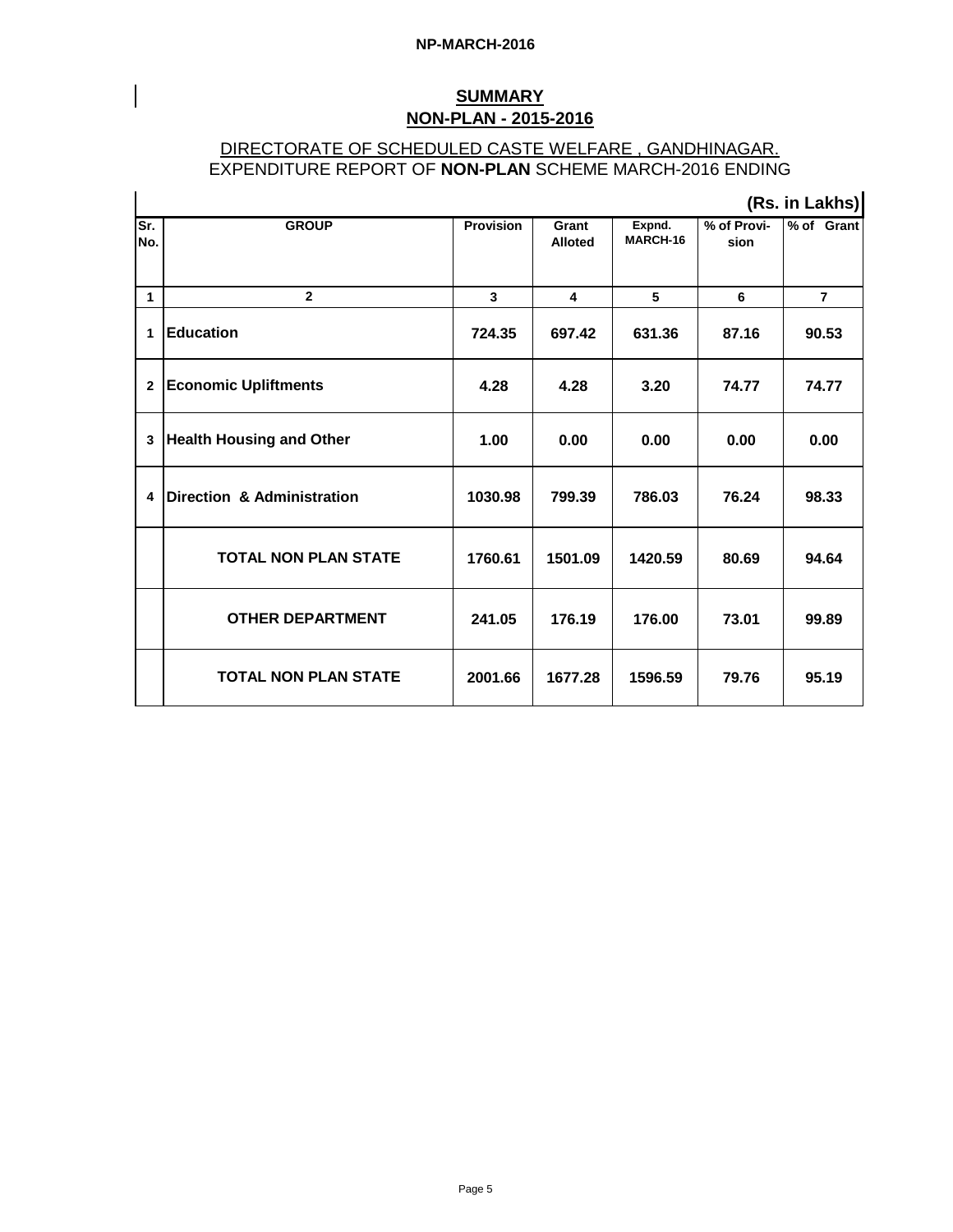$\mathbf{r}$ 

# **SUMMARY NON-PLAN - 2015-2016**

# DIRECTORATE OF SCHEDULED CASTE WELFARE , GANDHINAGAR. EXPENDITURE REPORT OF **NON-PLAN** SCHEME MARCH-2016 ENDING

|              | (Rs. in Lakhs)                        |                         |                         |                    |                     |                |  |  |
|--------------|---------------------------------------|-------------------------|-------------------------|--------------------|---------------------|----------------|--|--|
| Sr.<br>No.   | <b>GROUP</b>                          | <b>Provision</b>        | Grant<br><b>Alloted</b> | Expnd.<br>MARCH-16 | % of Provi-<br>sion | % of Grant     |  |  |
| $\mathbf{1}$ | $\overline{2}$                        | $\overline{\mathbf{3}}$ | $\overline{\mathbf{4}}$ | 5                  | 6                   | $\overline{7}$ |  |  |
| 1            | <b>Education</b>                      | 724.35                  | 697.42                  | 631.36             | 87.16               | 90.53          |  |  |
| $\mathbf{2}$ | <b>Economic Upliftments</b>           | 4.28                    | 4.28                    | 3.20               | 74.77               | 74.77          |  |  |
| 3            | <b>Health Housing and Other</b>       | 1.00                    | 0.00                    | 0.00               | 0.00                | 0.00           |  |  |
| 4            | <b>Direction &amp; Administration</b> | 1030.98                 | 799.39                  | 786.03             | 76.24               | 98.33          |  |  |
|              | <b>TOTAL NON PLAN STATE</b>           | 1760.61                 | 1501.09                 | 1420.59            | 80.69               | 94.64          |  |  |
|              | <b>OTHER DEPARTMENT</b>               | 241.05                  | 176.19                  | 176.00             | 73.01               | 99.89          |  |  |
|              | <b>TOTAL NON PLAN STATE</b>           | 2001.66                 | 1677.28                 | 1596.59            | 79.76               | 95.19          |  |  |